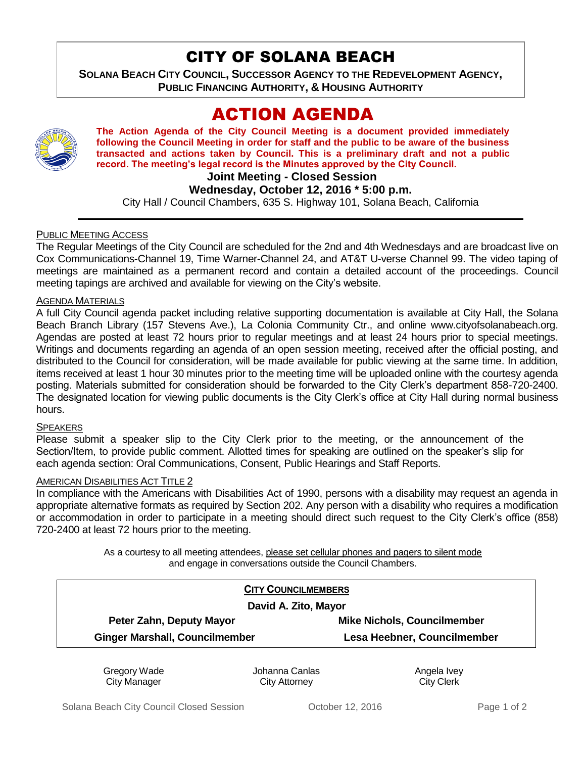## CITY OF SOLANA BEACH

**SOLANA BEACH CITY COUNCIL, SUCCESSOR AGENCY TO THE REDEVELOPMENT AGENCY, PUBLIC FINANCING AUTHORITY, & HOUSING AUTHORITY** 

# ACTION AGENDA



**The Action Agenda of the City Council Meeting is a document provided immediately following the Council Meeting in order for staff and the public to be aware of the business transacted and actions taken by Council. This is a preliminary draft and not a public record. The meeting's legal record is the Minutes approved by the City Council.**

**Joint Meeting - Closed Session**

#### **Wednesday, October 12, 2016 \* 5:00 p.m.**

City Hall / Council Chambers, 635 S. Highway 101, Solana Beach, California

#### PUBLIC MEETING ACCESS

The Regular Meetings of the City Council are scheduled for the 2nd and 4th Wednesdays and are broadcast live on Cox Communications-Channel 19, Time Warner-Channel 24, and AT&T U-verse Channel 99. The video taping of meetings are maintained as a permanent record and contain a detailed account of the proceedings. Council meeting tapings are archived and available for viewing on the City's website.

#### AGENDA MATERIALS

A full City Council agenda packet including relative supporting documentation is available at City Hall, the Solana Beach Branch Library (157 Stevens Ave.), La Colonia Community Ctr., and online www.cityofsolanabeach.org. Agendas are posted at least 72 hours prior to regular meetings and at least 24 hours prior to special meetings. Writings and documents regarding an agenda of an open session meeting, received after the official posting, and distributed to the Council for consideration, will be made available for public viewing at the same time. In addition, items received at least 1 hour 30 minutes prior to the meeting time will be uploaded online with the courtesy agenda posting. Materials submitted for consideration should be forwarded to the City Clerk's department 858-720-2400. The designated location for viewing public documents is the City Clerk's office at City Hall during normal business hours.

#### **SPEAKERS**

Please submit a speaker slip to the City Clerk prior to the meeting, or the announcement of the Section/Item, to provide public comment. Allotted times for speaking are outlined on the speaker's slip for each agenda section: Oral Communications, Consent, Public Hearings and Staff Reports.

#### AMERICAN DISABILITIES ACT TITLE 2

In compliance with the Americans with Disabilities Act of 1990, persons with a disability may request an agenda in appropriate alternative formats as required by Section 202. Any person with a disability who requires a modification or accommodation in order to participate in a meeting should direct such request to the City Clerk's office (858) 720-2400 at least 72 hours prior to the meeting.

> As a courtesy to all meeting attendees, please set cellular phones and pagers to silent mode and engage in conversations outside the Council Chambers.

| <b>CITY COUNCILMEMBERS</b>            |                                    |
|---------------------------------------|------------------------------------|
| David A. Zito, Mayor                  |                                    |
| Peter Zahn, Deputy Mayor              | <b>Mike Nichols, Councilmember</b> |
| <b>Ginger Marshall, Councilmember</b> | Lesa Heebner, Councilmember        |
|                                       |                                    |

Gregory Wade City Manager

Johanna Canlas City Attorney

Angela Ivey City Clerk